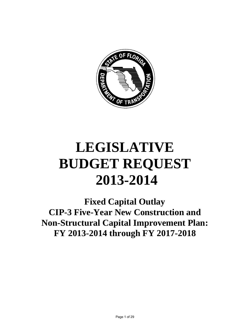

# **LEGISLATIVE BUDGET REQUEST 2013-2014**

**Fixed Capital Outlay CIP-3 Five-Year New Construction and Non-Structural Capital Improvement Plan: FY 2013-2014 through FY 2017-2018**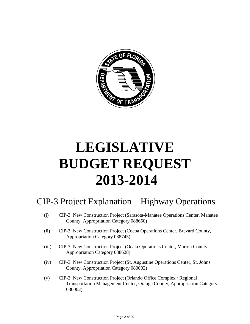

# **LEGISLATIVE BUDGET REQUEST 2013-2014**

# CIP-3 Project Explanation – Highway Operations

- (i) CIP-3: New Construction Project (Sarasota-Manatee Operations Center, Manatee County, Appropriation Category 088650)
- (ii) CIP-3: New Construction Project (Cocoa Operations Center, Brevard County, Appropriation Category 088745)
- (iii) CIP-3: New Construction Project (Ocala Operations Center, Marion County, Appropriation Category 088628)
- (iv) CIP-3: New Construction Project (St. Augustine Operations Center, St. Johns County, Appropriation Category 080002)
- (v) CIP-3: New Construction Project (Orlando Office Complex / Regional Transportation Management Center, Orange County, Appropriation Category 080002)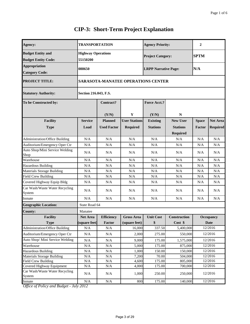| Agency:                                                     | <b>TRANSPORTATION</b>                 |                                           |                                         | <b>Agency Priority:</b>            |                                                       | $\overline{2}$                |                                    |  |  |  |
|-------------------------------------------------------------|---------------------------------------|-------------------------------------------|-----------------------------------------|------------------------------------|-------------------------------------------------------|-------------------------------|------------------------------------|--|--|--|
| <b>Budget Entity and</b><br><b>Budget Entity Code:</b>      | <b>Highway Operations</b><br>55150200 |                                           |                                         | <b>Project Category:</b>           |                                                       | <b>SPTM</b>                   |                                    |  |  |  |
| <b>Appropriation</b><br><b>Category Code:</b>               | 088650                                |                                           |                                         | <b>LRPP Narrative Page:</b>        |                                                       | N/A                           |                                    |  |  |  |
| <b>PROJECT TITLE:</b>                                       |                                       | <b>SARASOTA-MANATEE OPERATIONS CENTER</b> |                                         |                                    |                                                       |                               |                                    |  |  |  |
| <b>Statutory Authority:</b>                                 |                                       | Section 216.043, F.S.                     |                                         |                                    |                                                       |                               |                                    |  |  |  |
| To be Constructed by:                                       |                                       | Contract?                                 |                                         |                                    |                                                       |                               |                                    |  |  |  |
|                                                             |                                       | (Y/N)                                     | Y                                       | (Y/N)                              | N                                                     |                               |                                    |  |  |  |
| <b>Facility</b><br><b>Type</b>                              | <b>Service</b><br>Load                | <b>Planned</b><br><b>Used Factor</b>      | <b>User Stations</b><br><b>Required</b> | <b>Existing</b><br><b>Stations</b> | <b>New User</b><br><b>Stations</b><br><b>Required</b> | <b>Space</b><br><b>Factor</b> | <b>Net Area</b><br><b>Required</b> |  |  |  |
| <b>Administration/Office Building</b>                       | N/A                                   | N/A                                       | N/A                                     | N/A                                | N/A                                                   | N/A                           | N/A                                |  |  |  |
| Auditorium/Emergency Oper Ctr                               | N/A                                   | N/A                                       | N/A                                     | N/A                                | N/A                                                   | N/A                           | N/A                                |  |  |  |
| Auto Shop/Mini Service Welding<br>Shop                      | N/A                                   | N/A                                       | N/A                                     | N/A                                | N/A                                                   | N/A                           | N/A                                |  |  |  |
| Warehouse                                                   | N/A                                   | N/A                                       | N/A                                     | N/A                                | N/A                                                   | N/A                           | N/A                                |  |  |  |
| Hazardous Building                                          | N/A                                   | N/A                                       | N/A                                     | N/A                                | N/A                                                   | N/A                           | N/A                                |  |  |  |
| Materials Storage Building                                  | N/A                                   | N/A                                       | N/A                                     | N/A                                | N/A                                                   | N/A                           | N/A                                |  |  |  |
| <b>Field Crew Building</b>                                  | N/A                                   | N/A                                       | N/A                                     | N/A                                | N/A                                                   | N/A                           | N/A                                |  |  |  |
| Covered Highway Equip Bldg                                  | N/A                                   | N/A                                       | N/A                                     | N/A                                | N/A                                                   | N/A                           | N/A                                |  |  |  |
| Car Wash/Waste Water Recycling<br>System                    | N/A                                   | N/A                                       | N/A                                     | N/A                                | N/A                                                   | N/A                           | N/A                                |  |  |  |
| Inmate                                                      | N/A                                   | N/A                                       | N/A                                     | N/A                                | N/A                                                   | N/A                           | N/A                                |  |  |  |
| <b>Geographic Location:</b>                                 | State Road 64                         |                                           |                                         |                                    |                                                       |                               |                                    |  |  |  |
| County:                                                     | Manatee                               |                                           |                                         |                                    |                                                       |                               |                                    |  |  |  |
| <b>Facility</b>                                             | <b>Net Area</b>                       | <b>Efficiency</b>                         | <b>Gross Area</b>                       | <b>Unit Cost</b>                   | Construction                                          |                               | Occupancy                          |  |  |  |
| <b>Type</b>                                                 | (square feet)                         | Factor                                    | (square feet)                           | \$                                 | Cost \$                                               |                               | Date                               |  |  |  |
| <b>Administration/Office Building</b>                       | N/A                                   | N/A                                       | 16,000                                  | 337.50                             | 5,400,000                                             |                               | 12/2016                            |  |  |  |
| Auditorium/Emergency Oper Ctr                               | N/A                                   | N/A                                       | 2,000                                   | 275.00                             | 550,000                                               |                               | 12/2016                            |  |  |  |
| Auto Shop/ Mini Service Welding                             | N/A                                   | N/A                                       | 9,000                                   | 175.00                             | 1,575,000                                             |                               | 12/2016                            |  |  |  |
| Warehouse                                                   | N/A                                   | $\rm N/A$                                 | 5,000                                   | 175.00                             | 875,000                                               |                               | 12/2016                            |  |  |  |
| <b>Hazardous Building</b>                                   | N/A                                   | N/A                                       | 1,000                                   | 150.00                             | 150,000                                               |                               | 12/2016                            |  |  |  |
| Materials Storage Building                                  | $\rm N/A$                             | $\rm N/A$                                 | 7,200                                   | 70.00                              | 504,000                                               |                               | 12/2016                            |  |  |  |
| <b>Field Crew Building</b>                                  | $\rm N/A$                             | $\rm N/A$                                 | 4,600                                   | 175.00                             | 805,000                                               |                               | 12/2016                            |  |  |  |
| Covered Highway Equipment<br>Car Wash/Waste Water Recycling | $\rm N/A$<br>N/A                      | $\rm N/A$<br>N/A                          | 4,000<br>1,000                          | 175.00<br>250.00                   | 700,000<br>250,000                                    |                               | 12/2016<br>12/2016                 |  |  |  |
| System                                                      |                                       |                                           |                                         |                                    |                                                       |                               |                                    |  |  |  |
| Inmate                                                      | N/A<br>1.1.2012                       | N/A                                       | 800                                     | 175.00                             | 140,000                                               |                               | 12/2016                            |  |  |  |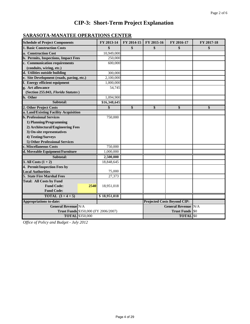# **SARASOTA-MANATEE OPERATIONS CENTER**

| <b>Schedule of Project Components</b>       | FY 2013-14   | FY 2014-15 | FY 2015-16 | FY 2016-17                         | FY 2017-18 |
|---------------------------------------------|--------------|------------|------------|------------------------------------|------------|
| <b>1. Basic Construction Costs</b>          | \$           | \$         | \$         | \$                                 | \$         |
| a. Construction Cost                        | 10,949,000   |            |            |                                    |            |
| b. Permits, Inspections, Impact Fees        | 250,000      |            |            |                                    |            |
| c. Communication requirements               | 600,000      |            |            |                                    |            |
| (conduits, wiring, etc.)                    |              |            |            |                                    |            |
| d. Utilities outside building               | 300,000      |            |            |                                    |            |
| e. Site Development (roads, paving, etc.)   | 2,100,000    |            |            |                                    |            |
| f. Energy efficient equipment               | 1,000,000    |            |            |                                    |            |
| g. Art allowance                            | 54,745       |            |            |                                    |            |
| (Section 255.043, Florida Statutes)         |              |            |            |                                    |            |
| h. Other                                    | 1,094,900    |            |            |                                    |            |
| Subtotal:                                   | \$16,348,645 |            |            |                                    |            |
| 2. Other Project Costs                      | \$           | \$         | \$         | \$                                 | \$         |
| a. Land/Existing Facility Acquisition       |              |            |            |                                    |            |
| <b>b. Professional Services</b>             | 750,000      |            |            |                                    |            |
| 1) Planning/Programming                     |              |            |            |                                    |            |
| 2) Architectural/Engineering Fees           |              |            |            |                                    |            |
| 3) On-site representatives                  |              |            |            |                                    |            |
| 4) Testing/Surveys                          |              |            |            |                                    |            |
| 5) Other Professional Services              |              |            |            |                                    |            |
| c. Miscellaneous Costs                      | 750,000      |            |            |                                    |            |
| d. Moveable Equipment/Furniture             | 1,000,000    |            |            |                                    |            |
| Subtotal:                                   | 2,500,000    |            |            |                                    |            |
| 3. All Costs $(1 + 2)$                      | 18,848,645   |            |            |                                    |            |
| 4. Permit/Inspection Fees by                |              |            |            |                                    |            |
| <b>Local Authorities</b>                    | 75,000       |            |            |                                    |            |
| 5. State Fire Marshal Fees                  | 27,373       |            |            |                                    |            |
| <b>Total: All Costs by Fund</b>             |              |            |            |                                    |            |
| <b>Fund Code:</b><br>2540                   | 18,951,018   |            |            |                                    |            |
| <b>Fund Code:</b>                           |              |            |            |                                    |            |
| TOTAL $(3+4+5)$                             | \$18,951,018 |            |            |                                    |            |
| <b>Appropriations to-date:</b>              |              |            |            | <b>Projected Costs Beyond CIP:</b> |            |
| <b>General Revenue N/A</b>                  |              |            |            | <b>General Revenue N/A</b>         |            |
| <b>Trust Funds</b> \$350,000 (FY 2006/2007) |              |            |            | <b>Trust Funds</b>                 | <b>ISO</b> |
| <b>TOTAL</b> \$350,000                      |              |            |            | <b>TOTAL</b> \$0                   |            |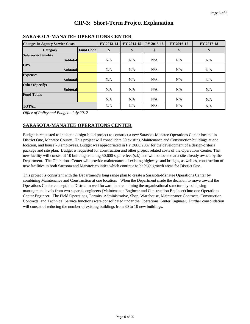| <b>Changes in Agency Service Costs</b> |  | FY 2013-14 | FY 2014-15 | FY 2015-16 | FY 2016-17 | FY 2017-18 |
|----------------------------------------|--|------------|------------|------------|------------|------------|
| <b>Fund Code</b><br>Category           |  | \$         | \$         | \$         | S          | \$         |
| <b>Salaries &amp; Benefits</b>         |  |            |            |            |            |            |
| <b>Subtotal</b>                        |  | N/A        | N/A        | N/A        | N/A        | N/A        |
| <b>OPS</b>                             |  |            |            |            |            |            |
| <b>Subtotal</b>                        |  | N/A        | N/A        | N/A        | N/A        | N/A        |
| <b>Expenses</b>                        |  |            |            |            |            |            |
| <b>Subtotal</b>                        |  | N/A        | N/A        | N/A        | N/A        | N/A        |
| Other (Specify)                        |  |            |            |            |            |            |
| <b>Subtotal</b>                        |  | N/A        | N/A        | N/A        | N/A        | N/A        |
| <b>Fund Totals</b>                     |  |            |            |            |            |            |
|                                        |  | N/A        | N/A        | N/A        | N/A        | N/A        |
| <b>TOTAL</b>                           |  | N/A        | N/A        | N/A        | N/A        | N/A        |

*Office of Policy and Budget - July 2012*

### **SARASOTA-MANATEE OPERATIONS CENTER**

**SARASOTA-MANATEE OPERATIONS CENTER**

Budget is requested to initiate a design-build project to construct a new Sarasota-Manatee Operations Center located in District One, Manatee County. This project will consolidate 30 existing Maintenance and Construction buildings at one location, and house 78 employees. Budget was appropriated in FY 2006/2007 for the development of a design-criteria package and site plan. Budget is requested for construction and other project related costs of the Operations Center. The new facility will consist of 10 buildings totaling 50,600 square feet (s.f.) and will be located at a site already owned by the Department. The Operations Center will provide maintenance of existing highways and bridges, as well as, construction of new facilities in both Sarasota and Manatee counties which continue to be high growth areas for District One.

This project is consistent with the Department's long range plan to create a Sarasota-Manatee Operations Center by combining Maintenance and Construction at one location. When the Department made the decision to move toward the Operations Center concept, the District moved forward in streamlining the organizational structure by collapsing management levels from two separate engineers (Maintenance Engineer and Construction Engineer) into one Operations Center Engineer. The Field Operations, Permits, Administrative, Shop, Warehouse, Maintenance Contracts, Construction Contracts, and Technical Service functions were consolidated under the Operations Center Engineer. Further consolidation will consist of reducing the number of existing buildings from 30 to 10 new buildings.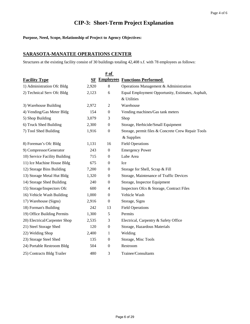**Purpose, Need, Scope, Relationship of Project to Agency Objectives:** 

### **SARASOTA-MANATEE OPERATIONS CENTER**

Structures at the existing facility consist of 30 buildings totaling 42,408 s.f. with 78 employees as follows:

|                               | $\frac{\text{# of}}{\text{# of}}$ |                  |                                                    |  |  |  |  |  |  |  |
|-------------------------------|-----------------------------------|------------------|----------------------------------------------------|--|--|--|--|--|--|--|
| <b>Facility Type</b>          | SF                                |                  | <b>Employees Functions Performed</b>               |  |  |  |  |  |  |  |
| 1) Administration Ofc Bldg    | 2,920                             | $8\,$            | Operations Management & Administration             |  |  |  |  |  |  |  |
| 2) Technical Serv Ofc Bldg    | 2,123                             | 6                | Equal Employment Opportunity, Estimates, Asphalt,  |  |  |  |  |  |  |  |
|                               |                                   |                  | & Utilities                                        |  |  |  |  |  |  |  |
| 3) Warehouse Building         | 2,972                             | $\mathbf{2}$     | Warehouse                                          |  |  |  |  |  |  |  |
| 4) Vending/Gas Meter Bldg     | 154                               | $\boldsymbol{0}$ | Vending machines/Gas tank meters                   |  |  |  |  |  |  |  |
| 5) Shop Building              | 3,079                             | 3                | Shop                                               |  |  |  |  |  |  |  |
| 6) Truck Shed Building        | 2,300                             | $\boldsymbol{0}$ | Storage, Herbicide/Small Equipment                 |  |  |  |  |  |  |  |
| 7) Tool Shed Building         | 1,916                             | $\boldsymbol{0}$ | Storage, permit files & Concrete Crew Repair Tools |  |  |  |  |  |  |  |
|                               |                                   |                  | & Supplies                                         |  |  |  |  |  |  |  |
| 8) Foreman's Ofc Bldg         | 1,131                             | 16               | <b>Field Operations</b>                            |  |  |  |  |  |  |  |
| 9) Compressor/Generator       | 243                               | $\boldsymbol{0}$ | <b>Emergency Power</b>                             |  |  |  |  |  |  |  |
| 10) Service Facility Building | 715                               | $\boldsymbol{0}$ | Lube Area                                          |  |  |  |  |  |  |  |
| 11) Ice Machine House Bldg    | 675                               | $\boldsymbol{0}$ | Ice                                                |  |  |  |  |  |  |  |
| 12) Storage Bins Building     | 7,200                             | $\boldsymbol{0}$ | Storage for Shell, Scrap & Fill                    |  |  |  |  |  |  |  |
| 13) Storage Metal Hut Bldg    | 1,320                             | $\boldsymbol{0}$ | Storage, Maintenance of Traffic Devices            |  |  |  |  |  |  |  |
| 14) Storage Shed Building     | 240                               | $\overline{0}$   | Storage, Inspector Equipment                       |  |  |  |  |  |  |  |
| 15) Storage/Inspectors Ofc    | 600                               | $\overline{4}$   | Inspectors Ofcs & Storage, Contract Files          |  |  |  |  |  |  |  |
| 16) Vehicle Wash Building     | 1,000                             | $\boldsymbol{0}$ | Vehicle Wash                                       |  |  |  |  |  |  |  |
| 17) Warehouse (Signs)         | 2,916                             | $\boldsymbol{0}$ | Storage, Signs                                     |  |  |  |  |  |  |  |
| 18) Forman's Building         | 242                               | 13               | <b>Field Operations</b>                            |  |  |  |  |  |  |  |
| 19) Office Building Permits   | 1,300                             | 5                | Permits                                            |  |  |  |  |  |  |  |
| 20) Electrical/Carpenter Shop | 2,535                             | 3                | Electrical, Carpentry & Safety Office              |  |  |  |  |  |  |  |
| 21) Steel Storage Shed        | 120                               | $\boldsymbol{0}$ | Storage, Hazardous Materials                       |  |  |  |  |  |  |  |
| 22) Welding Shop              | 2,400                             | 1                | Welding                                            |  |  |  |  |  |  |  |
| 23) Storage Steel Shed        | 135                               | $\boldsymbol{0}$ | Storage, Misc Tools                                |  |  |  |  |  |  |  |
| 24) Portable Restroom Bldg    | 504                               | $\mathbf{0}$     | Restroom                                           |  |  |  |  |  |  |  |
| 25) Contracts Bldg Trailer    | 480                               | 3                | Trainee/Consultants                                |  |  |  |  |  |  |  |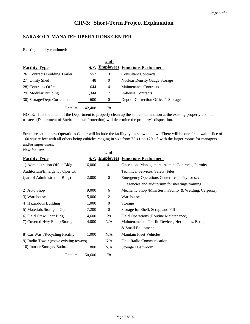#### **SARASOTA-MANATEE OPERATIONS CENTER**

Existing facility continued:

|                                |        | # of           |                                      |
|--------------------------------|--------|----------------|--------------------------------------|
| <b>Facility Type</b>           |        |                | S.F. Employees Functions Performed   |
| 26) Contracts Building Trailer | 552    | 3              | <b>Consultant Contracts</b>          |
| 27) Utility Shed               | 48     | $\overline{0}$ | <b>Nuclear Density Gauge Storage</b> |
| 28) Contracts Office           | 644    | 4              | Maintenance Contracts                |
| 29) Modular Building           | 1,344  | 7              | In-house Contracts                   |
| 30) Storage/Dept-Corrections   | 600    | 0              | Dept of Correction Officer's Storage |
| $Total =$                      | 42.408 | 78             |                                      |

NOTE: It is the intent of the Department to properly clean up the soil contamination at the existing property and the trustees (Department of Environmental Protection) will determine the property's disposition.

New facility: Structures at the new Operations Center will include the facility types shown below. There will be one fixed wall office of 160 square feet with all others being cubicles ranging in size from 75 s.f. to 120 s.f. with the larger rooms for managers and/or supervisors.

| TVOW TACITIES.                        |        | $#$ of           |                                                         |
|---------------------------------------|--------|------------------|---------------------------------------------------------|
| <b>Facility Type</b>                  |        |                  | <b>S.F. Employees Functions Performed</b>               |
| 1) Administration Office Bldg         | 16,000 | 41               | Operations Management, Admin, Contracts, Permits,       |
| Auditorium/Emergency Oper Ctr         |        |                  | Technical Services, Safety, Files                       |
| (part of Administration Bldg)         | 2,000  | $\boldsymbol{0}$ | Emergency Operations Center - capacity for several      |
|                                       |        |                  | agencies and auditorium for meetings/training           |
| 2) Auto Shop                          | 9,000  | 6                | Mechanic Shop /Mini Serv. Facility & Welding, Carpentry |
| 3) Warehouse                          | 5,000  | 2                | Warehouse                                               |
| 4) Hazardous Building                 | 1,000  | $\overline{0}$   | Storage                                                 |
| 5) Materials Storage - Open           | 7,200  | $\boldsymbol{0}$ | Storage for Shell, Scrap, and Fill                      |
| 6) Field Crew Oper Bldg               | 4,600  | 29               | <b>Field Operations (Routine Maintenance)</b>           |
| 7) Covered Hwy Equip Storage          | 4,000  | N/A              | Maintenance of Traffic Devices, Herbicides, Boat,       |
|                                       |        |                  | & Small Equipment                                       |
| 8) Car Wash/Recycling Facility        | 1,000  | N/A              | <b>Maintain Fleet Vehicles</b>                          |
| 9) Radio Tower (move existing towers) |        | N/A              | <b>Fleet Radio Communication</b>                        |
| 10) Inmate Storage/ Bathroom          | 800    | N/A              | Storage / Bathroom                                      |
| $Total =$                             | 50,600 | 78               |                                                         |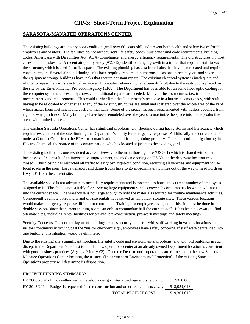#### **SARASOTA-MANATEE OPERATIONS CENTER**

The existing buildings are in very poor condition (well over 60 years old) and present both health and safety issues for the employees and visitors. The facilities do not meet current life safety codes, hurricane wind code requirements, building codes, Americans with Disabilities Act (ADA) compliance, and energy efficiency requirements. The old structures, in most cases, contain asbestos. A recent air quality study (9/27/12) identified fungal growth in a trailer that required staff to vacate the structure, which is used for office space. The existing plumbing has cast iron drains that have deteriorated and require constant repair. Several air conditioning units have required repairs on numerous occasions in recent years and several of the equipment storage buildings have leaks that require constant repair. The existing electrical system is inadequate and efforts to repair the yard's electrical service and computer networking have been difficult due to the restrictions placed on the site by the Environmental Protection Agency (EPA). The Department has been able to run some fiber optic cabling for the computer systems successfully; however, additional repairs are needed. Many of these structures, i.e., trailers, do not meet current wind requirements. This could further limit the Department's response in a hurricane emergency, with staff having to be relocated to other sites. Many of the existing structures are small and scattered over the whole area of the yard which makes them inefficient and costly to maintain. Some of the space has been supplemented with trailers acquired from right of way purchases. Many buildings have been remodeled over the years to maximize the space into more productive areas with limited success.

The existing Sarasota Operations Center has significant problems with flooding during heavy storms and hurricanes, which requires evacuation of the site, limiting the Department's ability for emergency response. Additionally, the current site is under a Consent Order from the EPA for contamination of soil from adjoining property. There is pending litigation against Electro Chemical, the source of the contamination, which is located adjacent to the existing yard.

The existing facility has one restricted access driveway to the main thoroughfare (US 301) which is shared with other businesses. As a result of an intersection improvement, the median opening on US 301 at the driveway location was closed. This closing has restricted all traffic to a right-in, right-out condition, requiring all vehicles and equipment to use local roads in the area. Large transport and dump trucks have to go approximately 5 miles out of the way to head north on Hwy 301 from the current site.

The available space is not adequate to meet daily requirements and is too small to house the current number of employees assigned to it. The shop is not suitable for servicing large equipment such as crew cabs or dump trucks which will not fit into the current space. The warehouse is not large enough to hold the materials required for routine maintenance activities. Consequently, remote borrow pits and off-site rentals have served as temporary storage sites. These various locations would make emergency response difficult to coordinate. Training for employees assigned to this site must be done in double sessions since the current training room can only accommodate half the current staff. It has been necessary to find alternate sites, including rental facilities for pre-bid, pre-construction, pre-work meetings and safety meetings.

Security Concerns: The current layout of buildings creates security concerns with staff working in various locations and visitors continuously driving past the "visitor check-in" sign, employees have safety concerns. If staff were centralized into one building, this situation would be eliminated.

Due to the existing site's significant flooding, life safety, code and environmental problems, and with old buildings in such disrepair, the Department's request to build a new operations center at an already owned Department location is consistent with good business practices (Agency Priority #2). Once the Department's operations are re-located to the new Sarasota-Manatee Operations Center location, the trustees (Department of Environmental Protection) of the existing Sarasota Operations property will determine its disposition.

| FY 2006/2007 - Funds authorized to develop a design criteria package and site plan | \$350,000    |
|------------------------------------------------------------------------------------|--------------|
| FY 2013/2014 - Budget is requested for the construction and other related costs    | \$18.951.018 |
| TOTAL PROJECT COST                                                                 | \$19.301.018 |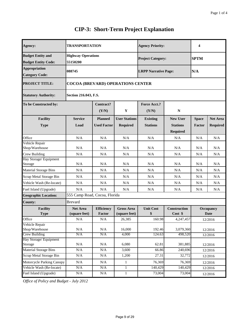| Agency:                                                | TRANSPORTATION                           |                                      |                                         | <b>Agency Priority:</b>            |                                                       | 4                      |                                    |  |  |
|--------------------------------------------------------|------------------------------------------|--------------------------------------|-----------------------------------------|------------------------------------|-------------------------------------------------------|------------------------|------------------------------------|--|--|
| <b>Budget Entity and</b><br><b>Budget Entity Code:</b> | <b>Highway Operations</b><br>55150200    |                                      |                                         | <b>Project Category:</b>           |                                                       | <b>SPTM</b>            |                                    |  |  |
| <b>Appropriation</b><br><b>Category Code:</b>          | 088745                                   |                                      |                                         | <b>LRPP Narrative Page:</b>        |                                                       | N/A                    |                                    |  |  |
| <b>PROJECT TITLE:</b>                                  | <b>COCOA (BREVARD) OPERATIONS CENTER</b> |                                      |                                         |                                    |                                                       |                        |                                    |  |  |
| <b>Statutory Authority:</b>                            | Section 216.043, F.S.                    |                                      |                                         |                                    |                                                       |                        |                                    |  |  |
| To be Constructed by:                                  |                                          | Contract?<br>(Y/N)                   | $\mathbf{Y}$                            | Force Acct.?<br>(Y/N)              | $\mathbf N$                                           |                        |                                    |  |  |
| <b>Facility</b><br><b>Type</b>                         | <b>Service</b><br>Load                   | <b>Planned</b><br><b>Used Factor</b> | <b>User Stations</b><br><b>Required</b> | <b>Existing</b><br><b>Stations</b> | <b>New User</b><br><b>Stations</b><br><b>Required</b> | <b>Space</b><br>Factor | <b>Net Area</b><br><b>Required</b> |  |  |
| Office                                                 | N/A                                      | N/A                                  | N/A                                     | N/A                                | N/A                                                   | N/A                    | N/A                                |  |  |
| Vehicle Repair<br>Shop/Warehouse                       | N/A                                      | N/A                                  | N/A                                     | N/A                                | N/A                                                   | N/A                    | N/A                                |  |  |
| Crew Building                                          | N/A                                      | N/A                                  | N/A                                     | N/A                                | N/A                                                   | N/A                    | N/A                                |  |  |
| Hay Storage/ Equipment<br>Storage                      | N/A                                      | N/A                                  | N/A                                     | N/A                                | N/A                                                   | N/A                    | N/A                                |  |  |
| <b>Material Storage Bins</b>                           | N/A                                      | N/A                                  | N/A                                     | N/A                                | N/A                                                   | N/A                    | N/A                                |  |  |
| Scrap Metal Storage Bin                                | N/A                                      | N/A                                  | N/A                                     | N/A                                | N/A                                                   | N/A                    | N/A                                |  |  |
| Vehicle Wash (Re-locate)                               | N/A                                      | N/A                                  | N/A                                     | N/A                                | N/A                                                   | N/A                    | N/A                                |  |  |
| Fuel Island (Upgrade)                                  | N/A                                      | N/A                                  | N/A                                     | N/A                                | N/A                                                   | N/A                    | N/A                                |  |  |
| <b>Geographic Location:</b>                            | 555 Camp Road, Cocoa, Florida            |                                      |                                         |                                    |                                                       |                        |                                    |  |  |
| <b>County:</b>                                         | <b>Brevard</b>                           |                                      |                                         |                                    |                                                       |                        |                                    |  |  |
| <b>Facility</b><br><b>Type</b>                         | <b>Net Area</b><br>(square feet)         | <b>Efficiency</b><br>Factor          | <b>Gross Area</b><br>(square feet)      | <b>Unit Cost</b><br>\$             | <b>Construction</b><br>Cost \$                        |                        | <b>Occupancy</b><br><b>Date</b>    |  |  |
| Office                                                 | N/A                                      | N/A                                  | 26,385                                  | 160.98                             | 4,247,457                                             |                        | 12/2016                            |  |  |
| Vehicle Repair<br>Shop/Warehouse                       | $\rm N/A$                                | N/A                                  | 16,000                                  | 192.46                             | 3,079,360                                             |                        | 12/2016                            |  |  |
| Crew Building                                          | N/A                                      | N/A                                  | 4,000                                   | 124.63                             | 498,520                                               |                        | 12/2016                            |  |  |
| Hay Storage/ Equipment<br>Storage                      | $\rm N/A$                                | N/A                                  | 6,080                                   | 62.81                              | 381,885                                               |                        | 12/2016                            |  |  |
| <b>Material Storage Bins</b>                           | $\rm N/A$                                | $\rm N/A$                            | 3,600                                   | 66.86                              | 240,696                                               |                        | 12/2016                            |  |  |
| <b>Scrap Metal Storage Bin</b>                         | $\rm N/A$                                | $\rm N/A$                            | 1,200                                   | 27.31                              | 32,772                                                |                        | 12/2016                            |  |  |
| <b>Motorcycle Parking Canopy</b>                       | N/A                                      | N/A                                  | 1                                       | 76,369                             | 76,369                                                |                        | 12/2016                            |  |  |
| Vehicle Wash (Re-locate)                               | N/A                                      | N/A                                  | $\mathbf{1}$                            | 140,429                            | 140,429                                               |                        | 12/2016                            |  |  |
| Fuel Island (Upgrade)                                  | N/A                                      | N/A                                  | $\mathbf{1}$                            | 73,004                             | 73,004                                                |                        | 12/2016                            |  |  |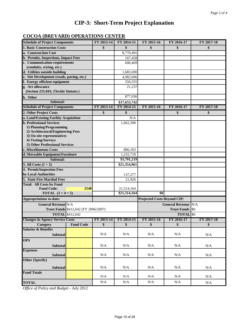## **COCOA (BREVARD) OPERATIONS CENTER**

| <b>Schedule of Project Components</b>            |                  | FY 2013-14      | FY 2014-15            | FY 2015-16                         | FY 2016-17              | FY 2017-18           |
|--------------------------------------------------|------------------|-----------------|-----------------------|------------------------------------|-------------------------|----------------------|
| <b>1. Basic Construction Costs</b>               |                  | \$              | \$                    | \$                                 | \$                      | \$                   |
| a. Construction Cost                             |                  |                 | 8,770,491             |                                    |                         |                      |
| b. Permits, Inspections, Impact Fees             |                  |                 | 167,458               |                                    |                         |                      |
| c. Communication requirements                    |                  |                 | 600,469               |                                    |                         |                      |
| (conduits, wiring, etc.)                         |                  |                 |                       |                                    |                         |                      |
| d. Utilities outside building                    |                  |                 | 1,683,690             |                                    |                         |                      |
| e. Site Development (roads, paving, etc.)        |                  |                 | 4,983,006             |                                    |                         |                      |
| f. Energy efficient equipment                    |                  |                 | 550,355               |                                    |                         |                      |
| g. Art allowance                                 |                  |                 | 21,237                |                                    |                         |                      |
| (Section 255.043, Florida Statutes)              |                  |                 |                       |                                    |                         |                      |
| h. Other                                         |                  |                 | 877,036               |                                    |                         |                      |
| Subtotal:                                        |                  |                 | \$17,653,742          |                                    |                         |                      |
| <b>Schedule of Project Components</b>            |                  | FY 2013-14      | FY 2014-15            | FY 2015-16                         | FY 2016-17              | FY 2017-18           |
| 2. Other Project Costs                           |                  | \$              | \$                    |                                    | \$                      | \$                   |
| a. Land/Existing Facility Acquisition            |                  |                 | N/A                   |                                    |                         |                      |
| <b>b. Professional Services</b>                  |                  |                 | 1,662,398             |                                    |                         |                      |
| 1) Planning/Programming                          |                  |                 |                       |                                    |                         |                      |
| 2) Architectural/Engineering Fees                |                  |                 |                       |                                    |                         |                      |
| 3) On-site representatives<br>4) Testing/Surveys |                  |                 |                       |                                    |                         |                      |
| 5) Other Professional Services                   |                  |                 |                       |                                    |                         |                      |
| c. Miscellaneous Costs                           |                  |                 | 806,103               |                                    |                         |                      |
| d. Moveable Equipment/Furniture                  |                  |                 | 1,232,718             |                                    |                         |                      |
| Subtotal:                                        |                  |                 | \$3,701,219           |                                    |                         |                      |
| 3. All Costs $(1 + 2)$                           |                  |                 | \$21,354,961          |                                    |                         |                      |
| 4. Permit/Inspection Fees                        |                  |                 |                       |                                    |                         |                      |
| by Local Authorities                             |                  |                 | 137,277               |                                    |                         |                      |
| 5. State Fire Marshal Fees                       |                  |                 | 21,926                |                                    |                         |                      |
| <b>Total: All Costs by Fund</b>                  |                  |                 |                       |                                    |                         |                      |
| <b>Fund Code:</b>                                | 2540             |                 | 21,514,164            |                                    |                         |                      |
| <b>TOTAL</b> $(3 + 4 + 5)$                       |                  |                 | \$21,514,164          | $\overline{\$0}$                   |                         |                      |
| <b>Appropriations to-date:</b>                   |                  |                 |                       | <b>Projected Costs Beyond CIP:</b> |                         |                      |
| <b>General Revenue N/A</b>                       |                  |                 |                       |                                    | <b>General Revenue</b>  | N/A                  |
| Trust Funds \$412,642 (FY 2006/2007)             |                  |                 |                       |                                    | <b>Trust Funds</b>      | \$0                  |
| <b>TOTAL</b> \$412,642                           |                  |                 |                       |                                    | <b>TOTAL</b> \$0        |                      |
| <b>Changes in Agency Service Costs</b>           |                  |                 | FY 2013-14 FY 2014-15 | FY 2015-16                         | FY 2016-17              | FY 2017-18           |
| <b>Category</b>                                  | <b>Fund Code</b> | $\overline{\$}$ | $\sqrt{\frac{4}{5}}$  | \$                                 | $\sqrt{\frac{1}{2}}$    | $\sqrt{\frac{1}{2}}$ |
| <b>Salaries &amp; Benefits</b>                   |                  |                 |                       |                                    |                         |                      |
| Subtotal                                         |                  | $\rm N/A$       | N/A                   | N/A                                | N/A                     | $\rm N/A$            |
| <b>OPS</b>                                       |                  |                 |                       |                                    |                         |                      |
| <b>Subtotal</b>                                  |                  | N/A             | $\rm N/A$             | $\rm N/A$                          | N/A                     | N/A                  |
| <b>Expenses</b>                                  |                  |                 |                       |                                    |                         |                      |
| <b>Subtotal</b>                                  |                  | N/A             | N/A                   | $\rm N/A$                          | $\rm N/A$               | N/A                  |
| <b>Other (Specify)</b>                           |                  |                 |                       |                                    |                         |                      |
|                                                  |                  |                 |                       |                                    |                         |                      |
| Subtotal                                         |                  | N/A             | N/A                   | N/A                                | N/A                     | N/A                  |
| <b>Fund Totals</b>                               |                  | N/A             | N/A                   | $\mathsf{N}/\mathsf{A}$            | $\mathsf{N}/\mathsf{A}$ | N/A                  |
| <b>TOTAL</b>                                     |                  | N/A             | N/A                   | $\rm N/A$                          | $\rm N/A$               |                      |
|                                                  | $\overline{0}$   |                 |                       |                                    |                         | $\rm N/A$            |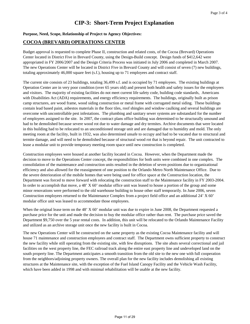#### **Purpose, Need, Scope, Relationship of Project to Agency Objectives:**

#### **COCOA (BREVARD) OPERATIONS CENTER**

Budget approval is requested to complete Phase II, construction and related costs, of the Cocoa (Brevard) Operations Center located in District Five in Brevard County, using the Design-Build concept. Design funds of \$412,642 were appropriated in FY 2006/2007 and the Design Criteria Process was initiated in July 2006 and completed in March 2007. The new Operations Center will be located in District Five in Brevard County and will consist of seven (7) new buildings, totaling approximately 46,000 square feet (s.f.), housing up to 71 employees and contract staff.

The current site consists of 23 buildings, totaling 36,499 s.f. and is occupied by 71 employees. The existing buildings at Operation Center are in very poor condition (over 65 years old) and present both health and safety issues for the employees and visitors. The majority of existing facilities do not meet current life safety code, building code standards, Americans with Disabilities Act (ADA) requirements, and energy efficiency requirements. The buildings, originally built as prison camp structures, are wood frame, wood siding construction or metal frame with corrugated metal siding. These buildings contain lead based paint, asbestos materials in the floor tiles, roof shingles and window caulking and several buildings are overcome with uncontrollable pest infestations. The plumbing and sanitary sewer systems are substandard for the number of employees assigned to the site. In 2007, the contract plans office building was determined to be structurally unsound and had to be demolished because severe wood rot due to water damage and dry termites. Archive documents that were located in this building had to be relocated to an unconditioned storage unit and are damaged due to humidity and mold. The only meeting room at the facility, built in 1932, was also determined unsafe to occupy and had to be vacated due to structural and termite damage, and will need to be demolished because of structural wood rot that is beyond repair. The unit contracted to lease a modular unit to provide temporary meeting room space until new construction is completed.

Construction employees were housed at another facility located in Cocoa. However, when the Department made the decision to move to the Operations Center concept, the responsibilities for both units were combined in one complex. The consolidation of the maintenance and construction units resulted in the deletion of seven positions due to organizational efficiency and also allowed for the reassignment of one position to the Orlando Metro North Maintenance Office. Due to the severe deterioration of the mobile homes that were being used for office space at the Construction location, the Department was forced to move forward with relocating the construction staff to the Maintenance facility in FY 2003-2004. In order to accomplish that move, a 48' X 60' modular office unit was leased to house a portion of the group and some minor renovations were performed to the old warehouse building to house other staff temporarily. In June 2006, seven Construction employees returned to the Maintenance Complex from a project field office and an additional 24' X 60' modular office unit was leased to accommodate those employees.

When the original lease term on the 48' X 60' modular unit was due to expire in June 2008, the Department requested a purchase price for the unit and made the decision to buy the modular office rather than rent. The purchase price saved the Department \$9,750 over the 5 year rental costs. In addition, this unit will be relocated to the Orlando Maintenance Facility and utilized as an archive storage unit once the new facility is built in Cocoa.

The new Operations Center will be constructed on the same property as the existing Cocoa Maintenance facility and will house 71 maintenance and construction employees and contract staff. The Department owns sufficient property to construct the new facility while still operating from the existing site, with few disruptions. The site abuts several correctional and jail facilities on the west property line, the FEC railroad track along the entire east property line and undeveloped land on the south property line. The Department anticipates a smooth transition from the old site to the new one with full cooperation from the neighbors/adjoining property owners. The overall plan for the new facility includes demolishing all existing structures at the Maintenance site, with the exception of the Fuel Island Canopy Facility and the Vehicle Wash Facility, which have been added in 1998 and with minimal rehabilitation will be usable at the new facility.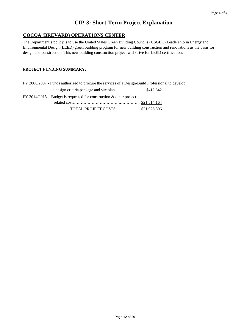## **COCOA (BREVARD) OPERATIONS CENTER**

The Department's policy is to use the United States Green Building Councils (USGBC) Leadership in Energy and Environmental Design (LEED) green building program for new building construction and renovations as the basis for design and construction. This new building construction project will strive for LEED certification.

| FY 2006/2007 - Funds authorized to procure the services of a Design-Build Professional to develop |              |
|---------------------------------------------------------------------------------------------------|--------------|
|                                                                                                   | \$412,642    |
| FY 2014/2015 - Budget is requested for construction $\&$ other project                            |              |
|                                                                                                   | \$21,514,164 |
| TOTAL PROJECT COSTS                                                                               | \$21,926,806 |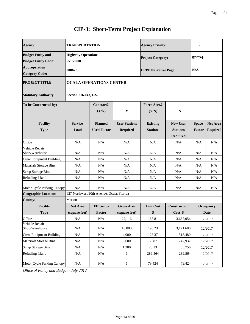| <b>TRANSPORTATION</b><br><b>Highway Operations</b><br>55150200 |                           |                      | <b>Agency Priority:</b>                                                                        |                     | 5                           |                 |  |
|----------------------------------------------------------------|---------------------------|----------------------|------------------------------------------------------------------------------------------------|---------------------|-----------------------------|-----------------|--|
|                                                                |                           |                      |                                                                                                |                     |                             |                 |  |
|                                                                |                           |                      | <b>Project Category:</b>                                                                       | <b>SPTM</b>         |                             |                 |  |
|                                                                |                           |                      |                                                                                                |                     |                             |                 |  |
|                                                                |                           |                      |                                                                                                |                     |                             |                 |  |
|                                                                |                           |                      |                                                                                                |                     |                             |                 |  |
| Section 216.043, F.S.                                          |                           |                      |                                                                                                |                     |                             |                 |  |
|                                                                | <b>Contract?</b><br>(Y/N) | Y                    | <b>Force Acct.?</b><br>(Y/N)                                                                   | N                   |                             |                 |  |
| <b>Service</b>                                                 | <b>Planned</b>            | <b>User Stations</b> | <b>Existing</b>                                                                                | <b>New User</b>     | <b>Space</b>                | <b>Net Area</b> |  |
| Load                                                           | <b>Used Factor</b>        |                      | <b>Stations</b>                                                                                | <b>Stations</b>     | Factor                      | <b>Required</b> |  |
|                                                                |                           |                      |                                                                                                | <b>Required</b>     |                             |                 |  |
| N/A                                                            | N/A                       | N/A                  | N/A                                                                                            | N/A                 | N/A                         | N/A             |  |
| N/A                                                            | N/A                       | N/A                  | N/A                                                                                            | N/A                 | N/A                         | N/A             |  |
| N/A                                                            | N/A                       | N/A                  | N/A                                                                                            | N/A                 | N/A                         | N/A             |  |
| N/A                                                            | N/A                       | N/A                  | N/A                                                                                            | N/A                 | N/A                         | N/A             |  |
| N/A                                                            | N/A                       | N/A                  | N/A                                                                                            | N/A                 | N/A                         | N/A             |  |
| N/A                                                            | N/A                       | N/A                  | N/A                                                                                            | N/A                 | N/A                         | N/A             |  |
| N/A                                                            | N/A                       | N/A                  | N/A                                                                                            | N/A                 | N/A                         | N/A             |  |
|                                                                |                           |                      |                                                                                                |                     |                             |                 |  |
| Marion                                                         |                           |                      |                                                                                                |                     |                             |                 |  |
| <b>Net Area</b>                                                | <b>Efficiency</b>         | <b>Gross Area</b>    | <b>Unit Cost</b>                                                                               | <b>Construction</b> |                             | Occupancy       |  |
| (square feet)                                                  | <b>Factor</b>             | (square feet)        | \$                                                                                             | Cost \$             |                             | Date            |  |
| N/A                                                            | N/A                       | 22,116               | 165.81                                                                                         | 3,667,054           |                             | 12/2017         |  |
| N/A                                                            | N/A                       | 16,000               | 198.23                                                                                         | 3,171,680           | 12/2017                     |                 |  |
| N/A                                                            | $\rm N/A$                 | 4,000                | 128.37                                                                                         | 513,480             | 12/2017                     |                 |  |
| N/A                                                            | N/A                       | 3,600                | 68.87                                                                                          | 247,932             |                             | 12/2017         |  |
| N/A                                                            | N/A                       | 1,200                | 28.13                                                                                          | 33,756              |                             | 12/2017         |  |
| N/A                                                            | N/A                       | $\mathbf{1}$         | 289,564                                                                                        | 289,564             |                             | 12/2017         |  |
| $\rm N/A$                                                      | $\rm N/A$                 | $\mathbf{1}$         | 79,424                                                                                         | 79,424              |                             | 12/2017         |  |
|                                                                | 088628                    |                      | <b>OCALA OPERATIONS CENTER</b><br><b>Required</b><br>627 Northwest 30th Avenue, Ocala, Florida |                     | <b>LRPP Narrative Page:</b> | N/A             |  |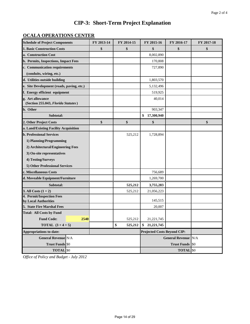## **OCALA OPERATIONS CENTER**

| <b>Schedule of Project Components</b>                   | FY 2013-14 | FY 2014-15    | FY 2015-16                         | FY 2016-17                 | FY 2017-18 |
|---------------------------------------------------------|------------|---------------|------------------------------------|----------------------------|------------|
| <b>1. Basic Construction Costs</b>                      | \$         | \$            | \$                                 | \$                         | \$         |
| a. Construction Cost                                    |            |               | 8,002,890                          |                            |            |
| b. Permits, Inspections, Impact Fees                    |            |               | 170,808                            |                            |            |
| c. Communication requirements                           |            |               | 727,890                            |                            |            |
| (conduits, wiring, etc.)                                |            |               |                                    |                            |            |
| d. Utilities outside building                           |            |               | 1,803,570                          |                            |            |
| e. Site Development (roads, paving, etc.)               |            |               | 5,132,496                          |                            |            |
| f. Energy efficient equipment                           |            |               | 519,925                            |                            |            |
| g. Art allowance<br>(Section 255.043, Florida Statutes) |            |               | 40,014                             |                            |            |
| h. Other                                                |            |               | 903,347                            |                            |            |
| Subtotal:                                               |            |               | 17,300,940<br>\$                   |                            |            |
| 2. Other Project Costs                                  | \$         | \$            | \$                                 |                            | \$         |
| a. Land/Existing Facility Acquisition                   |            |               |                                    |                            |            |
| <b>b. Professional Services</b>                         |            | 525,212       | 1,728,894                          |                            |            |
| 1) Planning/Programming                                 |            |               |                                    |                            |            |
| 2) Architectural/Engineering Fees                       |            |               |                                    |                            |            |
| 3) On-site representatives                              |            |               |                                    |                            |            |
| 4) Testing/Surveys                                      |            |               |                                    |                            |            |
| 5) Other Professional Services                          |            |               |                                    |                            |            |
| c. Miscellaneous Costs                                  |            |               | 756,689                            |                            |            |
| d. Moveable Equipment/Furniture                         |            |               | 1,269,700                          |                            |            |
| Subtotal:                                               |            | 525,212       | 3,755,283                          |                            |            |
| 3. All Costs $(1 + 2)$                                  |            | 525,212       | 21,056,223                         |                            |            |
| 4. Permit/Inspection Fees<br>by Local Authorities       |            |               | 145,515                            |                            |            |
| 5. State Fire Marshal Fees                              |            |               | 20,007                             |                            |            |
| <b>Total: All Costs by Fund</b>                         |            |               |                                    |                            |            |
| <b>Fund Code:</b><br>2540                               |            | 525,212       | 21,221,745                         |                            |            |
| <b>TOTAL</b> $(3 + 4 + 5)$                              |            | \$<br>525,212 | 21,221,745<br>\$                   |                            |            |
| <b>Appropriations to-date:</b>                          |            |               | <b>Projected Costs Beyond CIP:</b> |                            |            |
| <b>General Revenue N/A</b>                              |            |               |                                    | <b>General Revenue N/A</b> |            |
| <b>Trust Funds \$0</b>                                  |            |               |                                    | <b>Trust Funds</b>         | \$0        |
| <b>TOTAL</b> \$0                                        |            |               |                                    | <b>TOTAL</b> \$0           |            |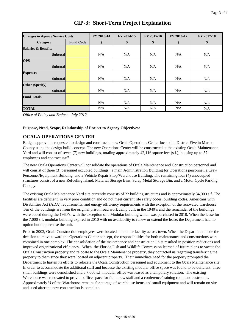| <b>Changes in Agency Service Costs</b> |                  | FY 2013-14 | FY 2014-15 | FY 2015-16 | FY 2016-17 | FY 2017-18 |
|----------------------------------------|------------------|------------|------------|------------|------------|------------|
| Category                               | <b>Fund Code</b> | \$         | \$         | \$         | \$         | \$         |
| <b>Salaries &amp; Benefits</b>         |                  |            |            |            |            |            |
| <b>Subtotal</b>                        |                  | N/A        | N/A        | N/A        | N/A        | N/A        |
| <b>OPS</b>                             |                  |            |            |            |            |            |
| <b>Subtotal</b>                        |                  | N/A        | N/A        | N/A        | N/A        | N/A        |
| <b>Expenses</b>                        |                  |            |            |            |            |            |
| <b>Subtotal</b>                        |                  | N/A        | N/A        | N/A        | N/A        | N/A        |
| <b>Other (Specify)</b>                 |                  |            |            |            |            |            |
| <b>Subtotal</b>                        |                  | N/A        | N/A        | N/A        | N/A        | N/A        |
| <b>Fund Totals</b>                     |                  |            |            |            |            |            |
|                                        |                  | N/A        | N/A        | N/A        | N/A        | N/A        |
| <b>TOTAL</b>                           |                  | N/A        | N/A        | N/A        | N/A        | N/A        |

*Office of Policy and Budget - July 2012*

#### **Purpose, Need, Scope, Relationship of Project to Agency Objectives:**

### **OCALA OPERATIONS CENTER**

Budget approval is requested to design and construct a new Ocala Operations Center located in District Five in Marion County using the design-build concept. The new Operations Center will be constructed at the existing Ocala Maintenance Yard and will consist of seven (7) new buildings, totaling approximately 42,116 square feet (s.f.), housing up to 57 employees and contract staff.

The new Ocala Operations Center will consolidate the operations of Ocala Maintenance and Construction personnel and will consist of three (3) personnel occupied buildings: a main Administration Building for Operations personnel, a Crew Personnel/Equipment Building, and a Vehicle Repair Shop/Warehouse Building. The remaining four (4) unoccupied structures consist of a new Refueling Island, Material Storage Bins, Scrap Metal Storage Bin, and a Motor Cycle Parking Canopy.

The existing Ocala Maintenance Yard site currently consists of 22 building structures and is approximately 34,000 s.f. The facilities are deficient, in very poor condition and do not meet current life safety codes, building codes, Americans with Disabilities Act (ADA) requirements, and energy efficiency requirements with the exception of the renovated warehouse. Ten of the buildings are from the original prison road work camp built in the 1940's and the remainder of the buildings were added during the 1960's, with the exception of a Modular building which was purchased in 2010. When the lease for the 7,000 s.f. modular building expired in 2010 with no availability to renew or extend the lease, the Department had no option but to purchase the unit.

Prior to 2003, Ocala Construction employees were located at another facility across town. When the Department made the decision to move toward the Operations Center concept, the responsibilities for both maintenance and constructions were combined in one complex. The consolidation of the maintenance and construction units resulted in position reductions and improved organizational efficiency. When the Florida Fish and Wildlife Commission learned of future plans to vacate the Ocala Construction property and relocate to the Ocala Maintenance property, they contacted us regarding transferring the property to them since they were located on adjacent property. Their immediate need for the property prompted the Department to hasten its efforts to relocate the Ocala Construction personnel and equipment to the Ocala Maintenance site. In order to accommodate the additional staff and because the existing modular office space was found to be deficient, three small buildings were demolished and a 7,000 s.f. modular office was leased as a temporary solution. The existing Warehouse was renovated to provide office space for field crew staff and a conference/training room and restrooms. Approximately ¼ of the Warehouse remains for storage of warehouse items and small equipment and will remain on site and used after the new construction is complete.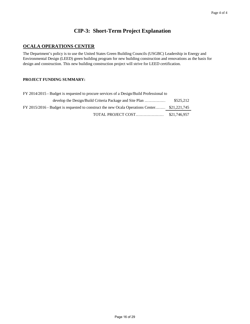## **OCALA OPERATIONS CENTER**

The Department's policy is to use the United States Green Building Councils (USGBC) Leadership in Energy and Environmental Design (LEED) green building program for new building construction and renovations as the basis for design and construction. This new building construction project will strive for LEED certification.

| FY 2014/2015 - Budget is requested to procure services of a Design/Build Professional to     |              |
|----------------------------------------------------------------------------------------------|--------------|
| develop the Design/Build Criteria Package and Site Plan                                      | \$525.212    |
| FY 2015/2016 - Budget is requested to construct the new Ocala Operations Center \$21,221,745 |              |
| TOTAL PROJECT COST                                                                           | \$21.746.957 |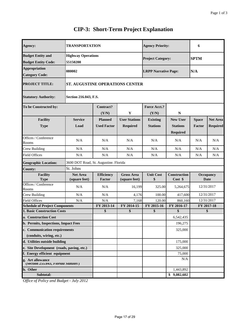| <b>Agency:</b>                                               | <b>TRANSPORTATION</b>                  |                                      |                                         | <b>Agency Priority:</b>            |                                                       | 6                      |                                    |
|--------------------------------------------------------------|----------------------------------------|--------------------------------------|-----------------------------------------|------------------------------------|-------------------------------------------------------|------------------------|------------------------------------|
| <b>Budget Entity and</b><br><b>Budget Entity Code:</b>       | <b>Highway Operations</b><br>55150200  |                                      |                                         | <b>Project Category:</b>           |                                                       | <b>SPTM</b>            |                                    |
| <b>Appropriation</b><br><b>Category Code:</b>                | 080002                                 |                                      |                                         | <b>LRPP Narrative Page:</b>        |                                                       | N/A                    |                                    |
| <b>PROJECT TITLE:</b>                                        | <b>ST. AUGUSTINE OPERATIONS CENTER</b> |                                      |                                         |                                    |                                                       |                        |                                    |
| <b>Statutory Authority:</b>                                  | Section 216.043, F.S.                  |                                      |                                         |                                    |                                                       |                        |                                    |
| To be Constructed by:                                        |                                        | Contract?<br>(Y/N)                   | Y                                       | Force Acct.?<br>(Y/N)              | N                                                     |                        |                                    |
| <b>Facility</b><br><b>Type</b>                               | <b>Service</b><br>Load                 | <b>Planned</b><br><b>Used Factor</b> | <b>User Stations</b><br><b>Required</b> | <b>Existing</b><br><b>Stations</b> | <b>New User</b><br><b>Stations</b><br><b>Required</b> | <b>Space</b><br>Factor | <b>Net Area</b><br><b>Required</b> |
| Offices / Conference<br>Rooms                                | N/A                                    | N/A                                  | N/A                                     | N/A                                | N/A                                                   | N/A                    | N/A                                |
| Crew Building                                                | N/A                                    | N/A                                  | N/A                                     | N/A                                | N/A                                                   | N/A                    | N/A                                |
| <b>Field Offices</b>                                         | N/A                                    | N/A                                  | N/A                                     | N/A                                | N/A                                                   | N/A                    | N/A                                |
| <b>Geographic Location:</b>                                  | 3600 DOT Road, St. Augustine. Florida  |                                      |                                         |                                    |                                                       |                        |                                    |
| County:                                                      | St. Johns                              |                                      |                                         |                                    |                                                       |                        |                                    |
| <b>Facility</b><br><b>Type</b>                               | <b>Net Area</b><br>(square feet)       | <b>Efficiency</b><br><b>Factor</b>   | <b>Gross Area</b><br>(square feet)      | <b>Unit Cost</b><br>\$             | <b>Construction</b><br>Cost \$                        |                        | Occupancy<br>Date                  |
| Offices / Conference<br>Rooms                                | N/A                                    | N/A                                  | 16,199                                  | 325.00                             | 5,264,675                                             |                        | 12/31/2017                         |
| Crew Building                                                | N/A                                    | N/A                                  | 4,176                                   | 100.00                             | 417,600                                               |                        | 12/31/2017                         |
| <b>Field Offices</b>                                         | N/A                                    | N/A                                  | 7,168                                   | 120.00                             | 860,160                                               | 12/31/2017             |                                    |
| <b>Schedule of Project Components</b>                        |                                        | FY 2013-14                           | FY 2014-15                              | FY 2015-16                         | FY 2016-17                                            |                        | FY 2017-18                         |
| <b>1. Basic Construction Costs</b>                           |                                        | \$                                   | \$                                      | \$                                 | \$                                                    |                        | \$                                 |
| a. Construction Cost<br>b. Permits, Inspections, Impact Fees |                                        |                                      |                                         |                                    | 6,542,435                                             |                        |                                    |
|                                                              |                                        |                                      |                                         |                                    | 196,275                                               |                        |                                    |
| c. Communication requirements<br>(conduits, wiring, etc.)    |                                        |                                      |                                         |                                    | 325,000                                               |                        |                                    |
| d. Utilities outside building                                |                                        |                                      |                                         |                                    | 175,000                                               |                        |                                    |
| e. Site Development (roads, paving, etc.)                    |                                        |                                      |                                         |                                    | 325,000                                               |                        |                                    |
| f. Energy efficient equipment                                |                                        |                                      |                                         |                                    | 75,000                                                |                        |                                    |
| g. Art allowance<br>(Section 255.045, Fiorida Statutes)      |                                        |                                      |                                         |                                    | N/A                                                   |                        |                                    |
| h. Other                                                     |                                        |                                      |                                         |                                    | 1,443,892                                             |                        |                                    |
| Subtotal:<br>$c \mathbf{p}$ $\mathbf{r}$                     |                                        |                                      |                                         |                                    | \$9,082,602                                           |                        |                                    |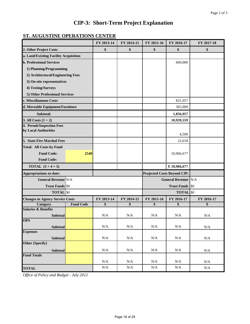## **ST. AUGUSTINE OPERATIONS CENTER**

|                                        |                  | FY 2013-14 | FY 2014-15 | FY 2015-16                         | FY 2016-17                 | FY 2017-18 |
|----------------------------------------|------------------|------------|------------|------------------------------------|----------------------------|------------|
| 2. Other Project Costs                 |                  | \$         | \$         | \$                                 | \$                         | \$         |
| a. Land/Existing Facility Acquisition  |                  |            |            |                                    |                            |            |
| <b>b. Professional Services</b>        |                  |            |            |                                    | 660,000                    |            |
| 1) Planning/Programming                |                  |            |            |                                    |                            |            |
| 2) Architectural/Engineering Fees      |                  |            |            |                                    |                            |            |
| 3) On-site representatives             |                  |            |            |                                    |                            |            |
| 4) Testing/Surveys                     |                  |            |            |                                    |                            |            |
| 5) Other Professional Services         |                  |            |            |                                    |                            |            |
| c. Miscellaneous Costs                 |                  |            |            |                                    | 831,957                    |            |
| d. Moveable Equipment/Furniture        |                  |            |            |                                    | 365,000                    |            |
| Subtotal:                              |                  |            |            |                                    | 1,856,957                  |            |
| 3. All Costs $(1 + 2)$                 |                  |            |            |                                    | 10,939,559                 |            |
| 4. Permit/Inspection Fees              |                  |            |            |                                    |                            |            |
| by Local Authorities                   |                  |            |            |                                    | 4,500                      |            |
| 5. State Fire Marshal Fees             |                  |            |            |                                    | 22,618                     |            |
| <b>Total: All Costs by Fund</b>        |                  |            |            |                                    |                            |            |
| <b>Fund Code:</b>                      | 2540             |            |            |                                    | 10,966,677                 |            |
| <b>Fund Code:</b>                      |                  |            |            |                                    |                            |            |
| <b>TOTAL</b> $(3 + 4 + 5)$             |                  |            |            |                                    | \$10,966,677               |            |
| <b>Appropriations to-date:</b>         |                  |            |            | <b>Projected Costs Beyond CIP:</b> |                            |            |
| <b>General Revenue N/A</b>             |                  |            |            |                                    | <b>General Revenue N/A</b> |            |
| <b>Trust Funds</b> \$0                 |                  |            |            |                                    | <b>Trust Funds</b>         | \$0        |
| <b>TOTAL</b> \$0                       |                  |            |            |                                    | <b>TOTAL</b>               | \$0        |
| <b>Changes in Agency Service Costs</b> |                  | FY 2013-14 | FY 2014-15 | FY 2015-16                         | FY 2016-17                 | FY 2016-17 |
| <b>Category</b>                        | <b>Fund Code</b> | \$         | \$         | \$                                 | \$                         | \$         |
| <b>Salaries &amp; Benefits</b>         |                  |            |            |                                    |                            |            |
| <b>Subtotal</b><br><b>OPS</b>          |                  | N/A        | N/A        | N/A                                | N/A                        | N/A        |
|                                        |                  | $\rm N/A$  | $\rm N/A$  | $\rm N/A$                          | $\rm N/A$                  |            |
| <b>Subtotal</b><br><b>Expenses</b>     |                  |            |            |                                    |                            | N/A        |
| <b>Subtotal</b>                        |                  | N/A        | N/A        | N/A                                | N/A                        | N/A        |
| Other (Specify)                        |                  |            |            |                                    |                            |            |
| <b>Subtotal</b>                        |                  | N/A        | $\rm N/A$  | $\rm N/A$                          | N/A                        | $\rm N/A$  |
| <b>Fund Totals</b>                     |                  |            |            |                                    |                            |            |
|                                        |                  | N/A        | $\rm N/A$  | $\rm N/A$                          | N/A                        | $\rm N/A$  |
| <b>TOTAL</b>                           |                  | N/A        | $\rm N/A$  | $\rm N/A$                          | $\rm N/A$                  | $\rm N/A$  |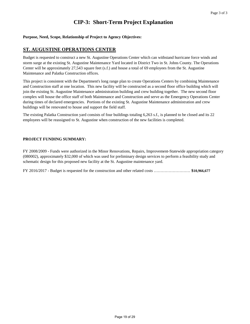#### **Purpose, Need, Scope, Relationship of Project to Agency Objectives:**

#### **ST. AUGUSTINE OPERATIONS CENTER**

Budget is requested to construct a new St. Augustine Operations Center which can withstand hurricane force winds and storm surge at the existing St. Augustine Maintenance Yard located in District Two in St. Johns County. The Operations Center will be approximately 27,543 square feet (s.f.) and house a total of 69 employees from the St. Augustine Maintenance and Palatka Construction offices.

This project is consistent with the Department's long range plan to create Operations Centers by combining Maintenance and Construction staff at one location. This new facility will be constructed as a second floor office building which will join the existing St. Augustine Maintenance administration building and crew building together. The new second floor complex will house the office staff of both Maintenance and Construction and serve as the Emergency Operations Center during times of declared emergencies. Portions of the existing St. Augustine Maintenance administration and crew buildings will be renovated to house and support the field staff.

The existing Palatka Construction yard consists of four buildings totaling 6,263 s.f., is planned to be closed and its 22 employees will be reassigned to St. Augustine when construction of the new facilities is completed.

#### **PROJECT FUNDING SUMMARY:**

FY 2008/2009 - Funds were authorized in the Minor Renovations, Repairs, Improvement-Statewide appropriation category (080002), approximately \$32,000 of which was used for preliminary design services to perform a feasibility study and schematic design for this proposed new facility at the St. Augustine maintenance yard.

FY 2016/2017 - Budget is requested for the construction and other related costs ……………………… **\$10,966,677**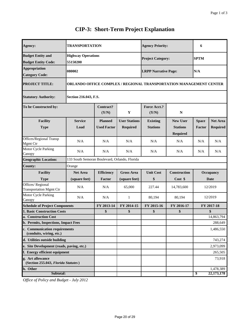| Agency:                                                   | TRANSPORTATION                                                     |                                      |                                         | <b>Agency Priority:</b>            |                                                       | 6                      |                                    |
|-----------------------------------------------------------|--------------------------------------------------------------------|--------------------------------------|-----------------------------------------|------------------------------------|-------------------------------------------------------|------------------------|------------------------------------|
| <b>Budget Entity and</b><br><b>Budget Entity Code:</b>    | <b>Highway Operations</b><br>55150200                              |                                      |                                         | <b>Project Category:</b>           |                                                       | <b>SPTM</b>            |                                    |
| <b>Appropriation</b><br><b>Category Code:</b>             | 080002                                                             |                                      |                                         | <b>LRPP Narrative Page:</b>        |                                                       | N/A                    |                                    |
| <b>PROJECT TITLE:</b>                                     | ORLANDO OFFICE COMPLEX / REGIONAL TRANSPORTATION MANAGEMENT CENTER |                                      |                                         |                                    |                                                       |                        |                                    |
| <b>Statutory Authority:</b>                               | Section 216.043, F.S.                                              |                                      |                                         |                                    |                                                       |                        |                                    |
| To be Constructed by:                                     |                                                                    | <b>Contract?</b><br>(Y/N)            | Y                                       | <b>Force Acct.?</b><br>(Y/N)       | $\mathbb{N}$                                          |                        |                                    |
| <b>Facility</b><br><b>Type</b>                            | <b>Service</b><br>Load                                             | <b>Planned</b><br><b>Used Factor</b> | <b>User Stations</b><br><b>Required</b> | <b>Existing</b><br><b>Stations</b> | <b>New User</b><br><b>Stations</b><br><b>Required</b> | <b>Space</b><br>Factor | <b>Net Area</b><br><b>Required</b> |
| Offices/Regional Transp<br>Mgmt Ctr                       | N/A                                                                | N/A                                  | N/A                                     | N/A                                | N/A                                                   | N/A                    | N/A                                |
| Motor Cycle Parking<br>Canopy                             | N/A                                                                | N/A                                  | N/A                                     | N/A                                | N/A                                                   | N/A                    | N/A                                |
| <b>Geographic Location:</b>                               | 133 South Semoran Boulevard, Orlando, Florida                      |                                      |                                         |                                    |                                                       |                        |                                    |
| County:                                                   | Orange                                                             |                                      |                                         |                                    |                                                       |                        |                                    |
| <b>Facility</b><br><b>Type</b>                            | <b>Net Area</b><br>(square feet)                                   | <b>Efficiency</b><br>Factor          | <b>Gross Area</b><br>(square feet)      | <b>Unit Cost</b><br>\$             | <b>Construction</b><br>Cost \$                        |                        | <b>Occupancy</b><br>Date           |
| Offices/Regional<br><b>Transportation Mgmt Ctr</b>        | N/A                                                                | N/A                                  | 65,000                                  | 227.44                             | 14,783,600                                            |                        | 12/2019                            |
| Motor Cycle Parking<br>Canopy                             | N/A                                                                | N/A                                  | $\mathbf{1}$                            | 80,194                             | 80,194                                                |                        | 12/2019                            |
| <b>Schedule of Project Components</b>                     |                                                                    | FY 2013-14                           | FY 2014-15                              | FY 2015-16                         | FY 2016-17                                            |                        | FY 2017-18                         |
| 1. Basic Construction Costs                               |                                                                    | \$                                   | \$                                      | \$                                 | \$                                                    |                        | \$                                 |
| a. Construction Cost                                      |                                                                    |                                      |                                         |                                    |                                                       |                        | 14,863,794                         |
| <b>b. Permits, Inspections, Impact Fees</b>               |                                                                    |                                      |                                         |                                    |                                                       |                        | 288,649                            |
| c. Communication requirements<br>(conduits, wiring, etc.) |                                                                    |                                      |                                         |                                    |                                                       |                        | 1,486,550                          |
| d. Utilities outside building                             |                                                                    |                                      |                                         |                                    |                                                       |                        | 743,274                            |
| e. Site Development (roads, paving, etc.)                 |                                                                    |                                      |                                         |                                    |                                                       |                        | 2,973,099                          |
| f. Energy efficient equipment                             |                                                                    |                                      |                                         |                                    |                                                       |                        | 265,505                            |
| g. Art allowance<br>(Section 255.043, Florida Statutes)   |                                                                    |                                      |                                         |                                    |                                                       |                        | 73,918                             |
| h. Other                                                  |                                                                    |                                      |                                         |                                    |                                                       |                        | 1,478,389                          |
| Subtotal:                                                 |                                                                    |                                      |                                         |                                    |                                                       | \$                     | 22, 173, 178                       |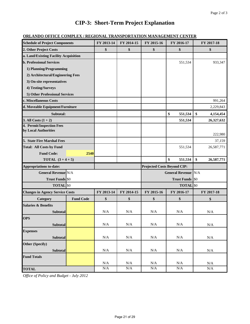|  | <b>ORLANDO OFFICE COMPLEX / REGIONAL TRANSPORTATION MANAGEMENT CENTER</b> |
|--|---------------------------------------------------------------------------|
|  |                                                                           |

| <b>Schedule of Project Components</b>  |                  | FY 2013-14 | FY 2014-15 | FY 2015-16                         | FY 2016-17                 | FY 2017-18       |
|----------------------------------------|------------------|------------|------------|------------------------------------|----------------------------|------------------|
| 2. Other Project Costs                 |                  | \$         | \$         | \$                                 | \$                         | \$               |
| a. Land/Existing Facility Acquisition  |                  |            |            |                                    |                            |                  |
| <b>b. Professional Services</b>        |                  |            |            |                                    | 551,534                    | 933,347          |
| 1) Planning/Programming                |                  |            |            |                                    |                            |                  |
| 2) Architectural/Engineering Fees      |                  |            |            |                                    |                            |                  |
| 3) On-site representatives             |                  |            |            |                                    |                            |                  |
| 4) Testing/Surveys                     |                  |            |            |                                    |                            |                  |
| 5) Other Professional Services         |                  |            |            |                                    |                            |                  |
| c. Miscellaneous Costs                 |                  |            |            |                                    |                            | 991,264          |
| d. Moveable Equipment/Furniture        |                  |            |            |                                    |                            | 2,229,843        |
| Subtotal:                              |                  |            |            |                                    | \$<br>551,534              | \$<br>4,154,454  |
| 3. All Costs $(1 + 2)$                 |                  |            |            |                                    | 551,534                    | 26,327,632       |
| 4. Permit/Inspection Fees              |                  |            |            |                                    |                            |                  |
| by Local Authorities                   |                  |            |            |                                    |                            | 222,980          |
| 5. State Fire Marshal Fees             |                  |            |            |                                    |                            | 37,159           |
| <b>Total: All Costs by Fund</b>        |                  |            |            |                                    | 551,534                    | 26,587,771       |
| <b>Fund Code:</b>                      | 2540             |            |            |                                    |                            |                  |
| <b>TOTAL</b> $(3 + 4 + 5)$             |                  |            |            |                                    | \$<br>551,534              | \$<br>26,587,771 |
| <b>Appropriations to-date:</b>         |                  |            |            | <b>Projected Costs Beyond CIP:</b> |                            |                  |
| <b>General Revenue N/A</b>             |                  |            |            |                                    | <b>General Revenue N/A</b> |                  |
| <b>Trust Funds \$0</b>                 |                  |            |            |                                    | <b>Trust Funds</b> \$0     |                  |
| <b>TOTAL</b> \$0                       |                  |            |            |                                    | <b>TOTAL</b> \$0           |                  |
| <b>Changes in Agency Service Costs</b> |                  | FY 2013-14 | FY 2014-15 | FY 2015-16                         | FY 2016-17                 | FY 2017-18       |
| Category                               | <b>Fund Code</b> | \$         | \$         | \$                                 | \$                         | \$               |
| <b>Salaries &amp; Benefits</b>         |                  |            |            |                                    |                            |                  |
| <b>Subtotal</b>                        |                  | N/A        | N/A        | N/A                                | N/A                        | N/A              |
| <b>OPS</b>                             |                  |            |            |                                    |                            |                  |
| <b>Subtotal</b>                        |                  | N/A        | $\rm N/A$  | $\rm N/A$                          | $\rm N/A$                  | N/A              |
| <b>Expenses</b>                        |                  |            |            |                                    |                            |                  |
| Subtotal                               |                  | N/A        | N/A        | N/A                                | N/A                        | $\rm N/A$        |
| Other (Specify)                        |                  |            |            |                                    |                            |                  |
| Subtotal                               |                  | N/A        | N/A        | N/A                                | N/A                        | N/A              |
| <b>Fund Totals</b>                     |                  |            |            |                                    |                            |                  |
|                                        |                  | N/A        | N/A        | N/A                                | N/A                        | N/A              |
| <b>TOTAL</b>                           |                  | $\rm N/A$  | $\rm N/A$  | N/A                                | N/A                        | $\rm N/A$        |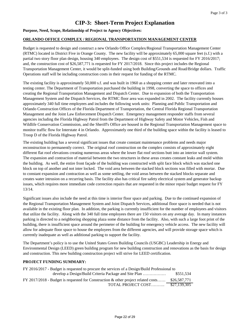#### **Purpose, Need, Scope, Relationship of Project to Agency Objectives:**

#### **ORLANDO OFFICE COMPLEX / REGIONAL TRANSPORTATION MANAGEMENT CENTER**

Budget is requested to design and construct a new Orlando Office Complex/Regional Transportation Management Center (RTMC) located in District Five in Orange County. The new facility will be approximately 65,000 square feet (s.f.) with a partial two story floor plan design, housing 340 employees. The design cost of \$551,534 is requested for FY 2016/2017; and, the construction cost of \$26,587,771 is requested for FY 2017/2018. Since this project includes the Regional Transportation Management Center, it would be split-funded using both Building/Grounds and Road/Bridge dollars. Traffic Operations staff will be including construction costs in their request for funding of the RTMC.

The existing facility is approximately 50,000 s.f. and was built in 1960 as a shopping center and later renovated into a testing center. The Department of Transportation purchased the building in 1998, converting the space to offices and creating the Regional Transportation Management and Dispatch Center. Due to expansion of both the Transportation Management System and the Dispatch Services, the RTMC floor area was expanded in 2002. The facility currently houses approximately 340 full time employees and includes the following work units: Planning and Public Transportation and Orlando Construction Offices of the Florida Department of Transportation, the Central Florida Regional Transportation Management and the Joint Law Enforcement Dispatch Center. Emergency management responder staffs from several agencies including the Florida Highway Patrol from the Department of Highway Safety and Motor Vehicles, Fish and Wildlife Conservation Commission, and the Sheriff's Office are housed in the Regional Transportation Management space to monitor traffic flow for Interstate 4 in Orlando. Approximately one third of the building space within the facility is leased to Troop D of the Florida Highway Patrol.

The existing building has a several significant issues that create constant maintenance problems and needs major reconstruction to permanently correct. The original roof construction on the complex consists of approximately eight different flat roof elevations creating numerous areas where the lower flat roof sections butt into an interior wall system. The expansion and contraction of material between the two structures in these areas creates constant leaks and mold within the building. As well, the entire front façade of the building was constructed with split face block which was stacked one block on top of another and not inter locked. The void area between the stacked block sections was filled with mortar. Due to constant expansion and contraction as well as some settling, the void areas between the stacked blocks separate and creates water intrusion on a recurring basis. The facility also has critical fire safety electrical system and generator backup issues, which requires more immediate code correction repairs that are requested in the minor repair budget request for FY 13/14.

Significant issues also include the need at this time is interior floor space and parking. Due to the continued expansion of the Regional Transportation Management System and Joint Dispatch Services, additional floor space is needed that is not available in the existing floor plan. In addition, the parking is currently insufficient for the number of employees and visitors that utilize the facility. Along with the 340 full time employees there are 150 visitors on any average day. In many instances parking is directed to a neighboring shopping plaza some distance from the facility. Also, with such a large foot print of the building, there is insufficient space around the perimeter of the building for emergency vehicle access. The new facility will allow for adequate floor space to house the employees from the different agencies, and will provide storage space which is currently inadequate as well as additional parking to support the facility.

The Department's policy is to use the United States Green Building Councils (USGBC) Leadership in Energy and Environmental Design (LEED) green building program for new building construction and renovations as the basis for design and construction. This new building construction project will strive for LEED certification.

| FY 2016/2017 - Budget is requested to procure the services of a Design/Build Professional to |              |  |
|----------------------------------------------------------------------------------------------|--------------|--|
| develop a Design/Build Criteria Package and Site Plan                                        | \$551.534    |  |
| FY 2017/2018 - Budget is requested for Construction & other project related costs            | \$26,587,771 |  |
| TOTAL PROJECT COST                                                                           | \$27,139,305 |  |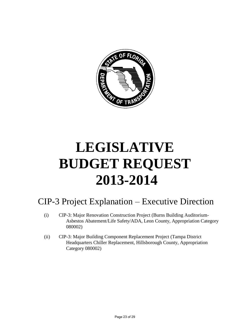

# **LEGISLATIVE BUDGET REQUEST 2013-2014**

# CIP-3 Project Explanation – Executive Direction

- (i) CIP-3: Major Renovation Construction Project (Burns Building Auditorium-Asbestos Abatement/Life Safety/ADA, Leon County, Appropriation Category 080002)
- (ii) CIP-3: Major Building Component Replacement Project (Tampa District Headquarters Chiller Replacement, Hillsborough County, Appropriation Category 080002)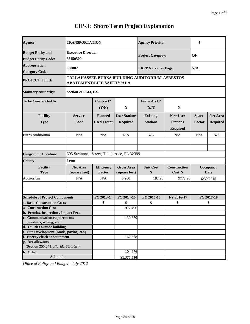| Agency:                                                | <b>TRANSPORTATION</b>                      |                                                                                    |                                         | <b>Agency Priority:</b>            |                                                       | 4                      |                                    |
|--------------------------------------------------------|--------------------------------------------|------------------------------------------------------------------------------------|-----------------------------------------|------------------------------------|-------------------------------------------------------|------------------------|------------------------------------|
| <b>Budget Entity and</b><br><b>Budget Entity Code:</b> | <b>Executive Direction</b><br>55150500     |                                                                                    |                                         | <b>Project Category:</b>           |                                                       | OF                     |                                    |
| <b>Appropriation</b><br><b>Category Code:</b>          | 080002                                     |                                                                                    | N/A<br><b>LRPP Narrative Page:</b>      |                                    |                                                       |                        |                                    |
| <b>PROJECT TITLE:</b>                                  |                                            | TALLAHASSEE BURNS BUILDING AUDITORIUM-ASBESTOS<br><b>ABATEMENT/LIFE SAFETY/ADA</b> |                                         |                                    |                                                       |                        |                                    |
| <b>Statutory Authority:</b>                            | Section 216.043, F.S.                      |                                                                                    |                                         |                                    |                                                       |                        |                                    |
| To be Constructed by:                                  |                                            | Contract?<br>(Y/N)                                                                 | Y                                       | <b>Force Acct.?</b><br>(Y/N)       | ${\bf N}$                                             |                        |                                    |
| Facility<br><b>Type</b>                                | <b>Service</b><br>Load                     | <b>Planned</b><br><b>Used Factor</b>                                               | <b>User Stations</b><br><b>Required</b> | <b>Existing</b><br><b>Stations</b> | <b>New User</b><br><b>Stations</b><br><b>Required</b> | <b>Space</b><br>Factor | <b>Net Area</b><br><b>Required</b> |
| <b>Burns Auditorium</b>                                | N/A                                        | N/A                                                                                | N/A                                     | N/A                                | N/A                                                   | N/A                    | N/A                                |
| <b>Geographic Location:</b>                            | 605 Suwannee Street, Tallahassee, FL 32399 |                                                                                    |                                         |                                    |                                                       |                        |                                    |
| <b>County:</b>                                         | Leon                                       |                                                                                    |                                         |                                    |                                                       |                        |                                    |
| <b>Facility</b><br><b>Type</b>                         | <b>Net Area</b><br>(square feet)           | <b>Efficiency</b><br>Factor                                                        | <b>Gross Area</b><br>(square feet)      | <b>Unit Cost</b><br>\$             | <b>Construction</b><br>Cost \$                        |                        | Occupancy<br><b>Date</b>           |
| Auditorium                                             | N/A                                        | N/A                                                                                | 5,200                                   | 187.98                             | 977,496                                               |                        | 6/30/2015                          |
| <b>Schedule of Project Components</b>                  |                                            | FY 2013-14                                                                         | FY 2014-15                              | FY 2015-16                         | FY 2016-17                                            |                        | FY 2017-18                         |
| <b>1. Basic Construction Costs</b>                     |                                            | \$                                                                                 | \$                                      | \$                                 | \$                                                    |                        | \$                                 |
| a. Construction Cost                                   |                                            |                                                                                    | 977,496                                 |                                    |                                                       |                        |                                    |
| <b>b. Permits, Inspections, Impact Fees</b>            |                                            |                                                                                    |                                         |                                    |                                                       |                        |                                    |
| c. Communication requirements                          |                                            |                                                                                    | 130,670                                 |                                    |                                                       |                        |                                    |
| (conduits, wiring, etc.)                               |                                            |                                                                                    |                                         |                                    |                                                       |                        |                                    |
| d. Utilities outside building                          |                                            |                                                                                    |                                         |                                    |                                                       |                        |                                    |
| e. Site Development (roads, paving, etc.)              |                                            |                                                                                    |                                         |                                    |                                                       |                        |                                    |
| f. Energy efficient equipment                          |                                            |                                                                                    | 162,668                                 |                                    |                                                       |                        |                                    |
| g. Art allowance                                       |                                            |                                                                                    |                                         |                                    |                                                       |                        |                                    |
| (Section 255.043, Florida Statutes)                    |                                            |                                                                                    |                                         |                                    |                                                       |                        |                                    |
| h. Other                                               |                                            |                                                                                    | 104,676                                 |                                    |                                                       |                        |                                    |
| Subtotal:                                              |                                            |                                                                                    | \$1,375,510                             |                                    |                                                       |                        |                                    |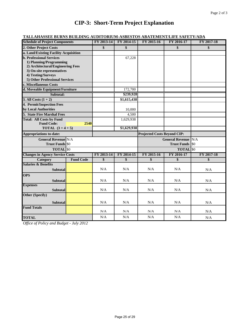| <b>TALLAHASSEE BURNS BUILDING AUDITORIUM-ASBESTOS ABATEMENT/LIFE SAFETY/ADA</b>                                                                                                 |  |  |                                  |            |                   |  |  |  |  |
|---------------------------------------------------------------------------------------------------------------------------------------------------------------------------------|--|--|----------------------------------|------------|-------------------|--|--|--|--|
| <b>Schedule of Project Components</b>                                                                                                                                           |  |  | FY 2013-14 FY 2014-15 FY 2015-16 | FY 2016-17 | <b>FY 2017-18</b> |  |  |  |  |
| 2. Other Project Costs                                                                                                                                                          |  |  |                                  |            |                   |  |  |  |  |
| $\mathbf{L}$ a $\mathbf{L}$ and $\mathbf{E}$ $\mathbf{L}$ at $\mathbf{L}$ and $\mathbf{L}$ and $\mathbf{L}$ are $\mathbf{L}$ and $\mathbf{L}$ and $\mathbf{L}$ are $\mathbf{L}$ |  |  |                                  |            |                   |  |  |  |  |

| a. Land/Existing Facility Acquisition  |                  |            |             |                                    |                        |            |
|----------------------------------------|------------------|------------|-------------|------------------------------------|------------------------|------------|
| <b>b. Professional Services</b>        |                  |            | 67,228      |                                    |                        |            |
| 1) Planning/Programming                |                  |            |             |                                    |                        |            |
| 2) Architectural/Engineering Fees      |                  |            |             |                                    |                        |            |
| 3) On-site representatives             |                  |            |             |                                    |                        |            |
| 4) Testing/Surveys                     |                  |            |             |                                    |                        |            |
| 5) Other Professional Services         |                  |            |             |                                    |                        |            |
| c. Miscellaneous Costs                 |                  |            |             |                                    |                        |            |
| d. Moveable Equipment/Furniture        |                  |            | 172,700     |                                    |                        |            |
| Subtotal:                              |                  |            | \$239,928   |                                    |                        |            |
| 3. All Costs $(1 + 2)$                 |                  |            | \$1,615,438 |                                    |                        |            |
| 4. Permit/Inspection Fees              |                  |            |             |                                    |                        |            |
| by Local Authorities                   |                  |            | 10,000      |                                    |                        |            |
| 5. State Fire Marshal Fees             |                  |            | 4,500       |                                    |                        |            |
| <b>Total: All Costs by Fund</b>        |                  |            | 1,629,938   |                                    |                        |            |
| <b>Fund Code:</b>                      | 2540             |            |             |                                    |                        |            |
| TOTAL $(3+4+5)$                        |                  |            | \$1,629,938 |                                    |                        |            |
| <b>Appropriations to-date:</b>         |                  |            |             | <b>Projected Costs Beyond CIP:</b> |                        |            |
| <b>General Revenue N/A</b>             |                  |            |             |                                    | <b>General Revenue</b> | N/A        |
| <b>Trust Funds \$0</b>                 |                  |            |             |                                    | <b>Trust Funds</b>     | <b>SO</b>  |
| <b>TOTAL</b> \$0                       |                  |            |             |                                    | <b>TOTAL</b> \$0       |            |
| <b>Changes in Agency Service Costs</b> |                  |            |             |                                    |                        |            |
|                                        |                  | FY 2013-14 | FY 2014-15  | FY 2015-16                         | FY 2016-17             | FY 2017-18 |
| <b>Category</b>                        | <b>Fund Code</b> | \$         | \$          | \$                                 | \$                     | \$         |
| <b>Salaries &amp; Benefits</b>         |                  |            |             |                                    |                        |            |
| <b>Subtotal</b>                        |                  | N/A        | N/A         | N/A                                | N/A                    | N/A        |
|                                        |                  |            |             |                                    |                        |            |
| <b>OPS</b>                             |                  | N/A        | N/A         | N/A                                | N/A                    |            |
| <b>Subtotal</b>                        |                  |            |             |                                    |                        | N/A        |
| <b>Expenses</b><br><b>Subtotal</b>     |                  | N/A        | N/A         | N/A                                | N/A                    |            |
|                                        |                  |            |             |                                    |                        | N/A        |
| <b>Other (Specify)</b>                 |                  |            |             |                                    |                        |            |
| <b>Subtotal</b>                        |                  | N/A        | N/A         | N/A                                | N/A                    | N/A        |
| <b>Fund Totals</b>                     |                  |            |             |                                    |                        |            |
|                                        |                  | N/A<br>N/A | N/A<br>N/A  | N/A<br>N/A                         | N/A<br>N/A             | N/A        |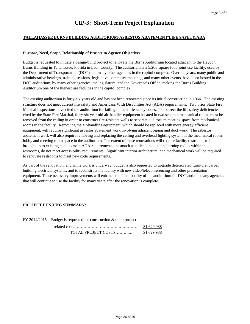#### **TALLAHASSEE BURNS BUILDING AUDITORIUM-ASBESTOS ABATEMENT/LIFE SAFETY/ADA**

#### **Purpose, Need, Scope, Relationship of Project to Agency Objectives:**

Budget is requested to initiate a design-build project to renovate the Burns Auditorium located adjacent to the Haydon Burns Building in Tallahassee, Florida in Leon County. The auditorium is a 5,200 square foot, joint use facility, used by the Department of Transportation (DOT) and many other agencies in the capitol complex. Over the years, many public and administrative hearings, training sessions, legislative committee meetings, and many other events, have been hosted in the DOT auditorium, by many other agencies, the legislature, and the Governor's Office, making the Burns Building Auditorium one of the highest use facilities in the capitol complex.

The existing auditorium is forty-six years old and has not been renovated since its initial construction in 1966. The existing structure does not meet current life safety and Americans With Disabilities Act (ADA) requirements. Two prior State Fire Marshal inspections have cited the auditorium for failing to meet life safety codes. To correct the life safety deficiencies cited by the State Fire Marshal, forty-six year old air-handler equipment located in two separate mechanical rooms must be removed from the ceiling in order to construct fire-resistant walls to separate auditorium meeting space from mechanical rooms in the facility. Removing the air-handling equipment, which should be replaced with more energy efficient equipment, will require significant asbestos abatement work involving adjacent piping and duct work. The asbestos abatement work will also require removing and replacing the ceiling and overhead lighting system in the mechanical room, lobby and meeting room space in the auditorium. The extent of these renovations will require facility restrooms to be brought up to existing code to meet ADA requirements, inasmuch as toilet, sink, and the turning radius within the restrooms, do not meet accessibility requirements. Significant interior architectural and mechanical work will be required to renovate restrooms to meet new code requirements.

As part of the renovation, and while work is underway, budget is also requested to upgrade deteriorated furniture, carpet, building electrical systems, and to reconstruct the facility with new video/teleconferencing and other presentation equipment. These necessary improvements will enhance the functionality of the auditorium for DOT and the many agencies that will continue to use the facility for many years after the renovation is complete.

| $FY$ 2014/2015 - Budget is requested for construction & other project |             |
|-----------------------------------------------------------------------|-------------|
|                                                                       | \$1,629,938 |
| TOTAL PROJECT COSTS                                                   | \$1,629,938 |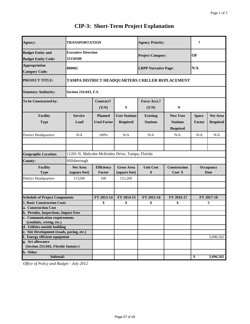| Agency:                                           | <b>TRANSPORTATION</b>                           |                                                 |                      | <b>Agency Priority:</b>     |                     | 7                        |                 |
|---------------------------------------------------|-------------------------------------------------|-------------------------------------------------|----------------------|-----------------------------|---------------------|--------------------------|-----------------|
| <b>Budget Entity and</b>                          | <b>Executive Direction</b>                      |                                                 |                      | <b>Project Category:</b>    |                     | OF                       |                 |
| <b>Budget Entity Code:</b>                        | 55150500                                        |                                                 |                      |                             |                     |                          |                 |
| <b>Appropriation</b>                              |                                                 |                                                 |                      |                             |                     |                          |                 |
| <b>Category Code:</b>                             | 080002                                          |                                                 |                      | <b>LRPP Narrative Page:</b> |                     | N/A                      |                 |
|                                                   |                                                 |                                                 |                      |                             |                     |                          |                 |
| <b>PROJECT TITLE:</b>                             |                                                 | TAMPA DISTRICT HEADQUARTERS CHILLER REPLACEMENT |                      |                             |                     |                          |                 |
| <b>Statutory Authority:</b>                       |                                                 | Section 216.043, F.S.                           |                      |                             |                     |                          |                 |
| To be Constructed by:                             |                                                 | Contract?                                       |                      | Force Acct.?                |                     |                          |                 |
|                                                   |                                                 | (Y/N)                                           | $\mathbf Y$          | (Y/N)                       | ${\bf N}$           |                          |                 |
|                                                   |                                                 |                                                 |                      |                             |                     |                          |                 |
| <b>Facility</b>                                   | <b>Service</b>                                  | <b>Planned</b>                                  | <b>User Stations</b> | <b>Existing</b>             | <b>New User</b>     | <b>Space</b>             | <b>Net Area</b> |
| <b>Type</b>                                       | Load                                            | <b>Used Factor</b>                              | <b>Required</b>      | <b>Stations</b>             | <b>Stations</b>     | Factor                   | <b>Required</b> |
|                                                   |                                                 |                                                 |                      |                             | <b>Required</b>     |                          |                 |
| <b>District Headquarters</b>                      | N/A                                             | 100%                                            | N/A                  | N/A                         | N/A                 | N/A                      | N/A             |
|                                                   |                                                 |                                                 |                      |                             |                     |                          |                 |
| <b>Geographic Location:</b>                       | 11201 N. Malcolm McKinley Drive, Tampa, Florida |                                                 |                      |                             |                     |                          |                 |
| <b>County:</b>                                    | Hillsborough                                    |                                                 |                      |                             |                     |                          |                 |
|                                                   |                                                 |                                                 |                      |                             |                     |                          |                 |
| <b>Facility</b>                                   | <b>Net Area</b>                                 | <b>Efficiency</b><br>Factor                     | <b>Gross Area</b>    | <b>Unit Cost</b>            | <b>Construction</b> | Occupancy<br><b>Date</b> |                 |
| <b>Type</b>                                       | (square feet)                                   |                                                 | (square feet)        | \$                          | Cost \$             |                          |                 |
| District Headquarters                             | 115200                                          | 100                                             | 115,200              |                             |                     |                          |                 |
|                                                   |                                                 |                                                 |                      |                             |                     |                          |                 |
| <b>Schedule of Project Components</b>             |                                                 | FY 2013-14                                      | FY 2014-15           | FY 2015-16                  | FY 2016-17          |                          | FY 2017-18      |
| <b>1. Basic Construction Costs</b>                |                                                 | \$                                              | \$                   | \$                          | \$                  |                          | \$              |
| a. Construction Cost                              |                                                 |                                                 |                      |                             |                     |                          |                 |
| b. Permits, Inspections, Impact Fees              |                                                 |                                                 |                      |                             |                     |                          |                 |
| c. Communication requirements                     |                                                 |                                                 |                      |                             |                     |                          |                 |
| (conduits, wiring, etc.)                          |                                                 |                                                 |                      |                             |                     |                          |                 |
| d. Utilities outside building                     |                                                 |                                                 |                      |                             |                     |                          |                 |
| e. Site Development (roads, paving, etc.)         |                                                 |                                                 |                      |                             |                     |                          |                 |
| f. Energy efficient equipment<br>g. Art allowance |                                                 |                                                 |                      |                             |                     |                          | 3,096,502       |
| (Section 255.043, Florida Statutes)               |                                                 |                                                 |                      |                             |                     |                          |                 |
| h. Other                                          |                                                 |                                                 |                      |                             |                     |                          |                 |
| Subtotal:                                         |                                                 |                                                 |                      |                             |                     | \$                       | 3,096,502       |
|                                                   |                                                 |                                                 |                      |                             |                     |                          |                 |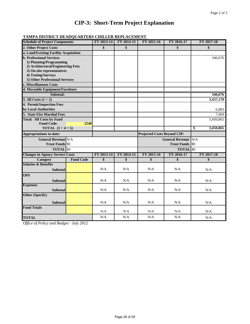|  |  | <b>TAMPA DISTRICT HEADQUARTERS CHILLER REPLACEMENT</b> |
|--|--|--------------------------------------------------------|
|  |  |                                                        |

| <b>Schedule of Project Components</b>                |                  | FY 2013-14 | FY 2014-15 | FY 2015-16                         | FY 2016-17             | FY 2017-18       |
|------------------------------------------------------|------------------|------------|------------|------------------------------------|------------------------|------------------|
| 2. Other Project Costs                               |                  | \$         | \$         |                                    | \$                     | \$               |
| a. Land/Existing Facility Acquisition                |                  |            |            |                                    |                        |                  |
| <b>b. Professional Services</b>                      |                  |            |            |                                    |                        | 340,676          |
| 1) Planning/Programming                              |                  |            |            |                                    |                        |                  |
| 2) Architectural/Engineering Fees                    |                  |            |            |                                    |                        |                  |
| 3) On-site representatives                           |                  |            |            |                                    |                        |                  |
| 4) Testing/Surveys<br>5) Other Professional Services |                  |            |            |                                    |                        |                  |
| c. Miscellaneous Costs                               |                  |            |            |                                    |                        |                  |
| d. Moveable Equipment/Furniture                      |                  |            |            |                                    |                        |                  |
| Subtotal:                                            |                  |            |            |                                    |                        | 340,676          |
| 3. All Costs $(1 + 2)$                               |                  |            |            |                                    |                        | 3,437,178        |
| 4. Permit/Inspection Fees                            |                  |            |            |                                    |                        |                  |
| by Local Authorities                                 |                  |            |            |                                    |                        | 6,083            |
| 5. State Fire Marshal Fees                           |                  |            |            |                                    |                        | 7,604            |
| <b>Total: All Costs by Fund</b>                      |                  |            |            |                                    |                        | 3,450,865        |
| <b>Fund Code:</b>                                    | 2540             |            |            |                                    |                        |                  |
| <b>TOTAL</b> $(3 + 4 + 5)$                           |                  |            |            |                                    |                        | \$<br>3,450,865  |
| <b>Appropriations to-date:</b>                       |                  |            |            | <b>Projected Costs Beyond CIP:</b> |                        |                  |
| <b>General Revenue N/A</b>                           |                  |            |            |                                    | <b>General Revenue</b> | N/A              |
| <b>Trust Funds</b> \$0                               |                  |            |            |                                    | <b>Trust Funds</b>     | $\overline{180}$ |
| <b>TOTAL</b> \$0                                     |                  |            |            |                                    | <b>TOTAL</b> \$0       |                  |
| <b>Changes in Agency Service Costs</b>               |                  | FY 2013-14 | FY 2014-15 | FY 2015-16                         | FY 2016-17             | FY 2017-18       |
| <b>Category</b>                                      | <b>Fund Code</b> | \$         | \$         | \$                                 | $\overline{\$}$        | \$               |
| <b>Salaries &amp; Benefits</b>                       |                  |            |            |                                    |                        |                  |
| <b>Subtotal</b>                                      |                  | N/A        | N/A        | N/A                                | N/A                    | N/A              |
| <b>OPS</b>                                           |                  |            |            |                                    |                        |                  |
| <b>Subtotal</b>                                      |                  | N/A        | N/A        | N/A                                | N/A                    | N/A              |
| <b>Expenses</b>                                      |                  |            |            |                                    |                        |                  |
| <b>Subtotal</b>                                      |                  | N/A        | N/A        | N/A                                | N/A                    | N/A              |
| <b>Other (Specify)</b>                               |                  |            |            |                                    |                        |                  |
| <b>Subtotal</b>                                      |                  | N/A        | N/A        | N/A                                | N/A                    | N/A              |
| <b>Fund Totals</b>                                   |                  |            |            |                                    |                        |                  |
|                                                      |                  | N/A        | N/A        | N/A                                | N/A                    | N/A              |
| <b>TOTAL</b>                                         |                  | N/A        | N/A        | N/A                                | N/A                    | N/A              |